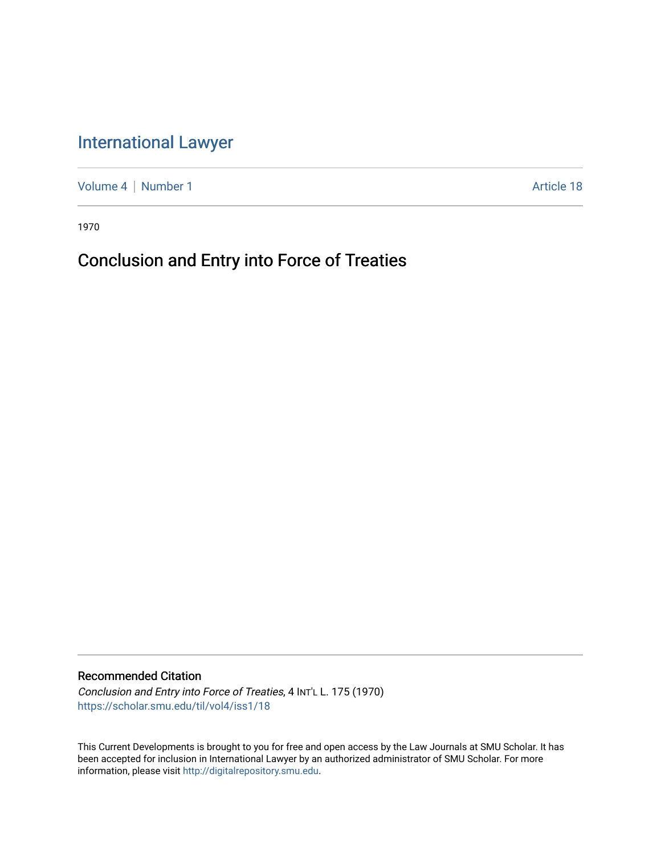# [International Lawyer](https://scholar.smu.edu/til)

[Volume 4](https://scholar.smu.edu/til/vol4) | [Number 1](https://scholar.smu.edu/til/vol4/iss1) Article 18

1970

# Conclusion and Entry into Force of Treaties

Recommended Citation

Conclusion and Entry into Force of Treaties, 4 INT'L L. 175 (1970) [https://scholar.smu.edu/til/vol4/iss1/18](https://scholar.smu.edu/til/vol4/iss1/18?utm_source=scholar.smu.edu%2Ftil%2Fvol4%2Fiss1%2F18&utm_medium=PDF&utm_campaign=PDFCoverPages)

This Current Developments is brought to you for free and open access by the Law Journals at SMU Scholar. It has been accepted for inclusion in International Lawyer by an authorized administrator of SMU Scholar. For more information, please visit [http://digitalrepository.smu.edu](http://digitalrepository.smu.edu/).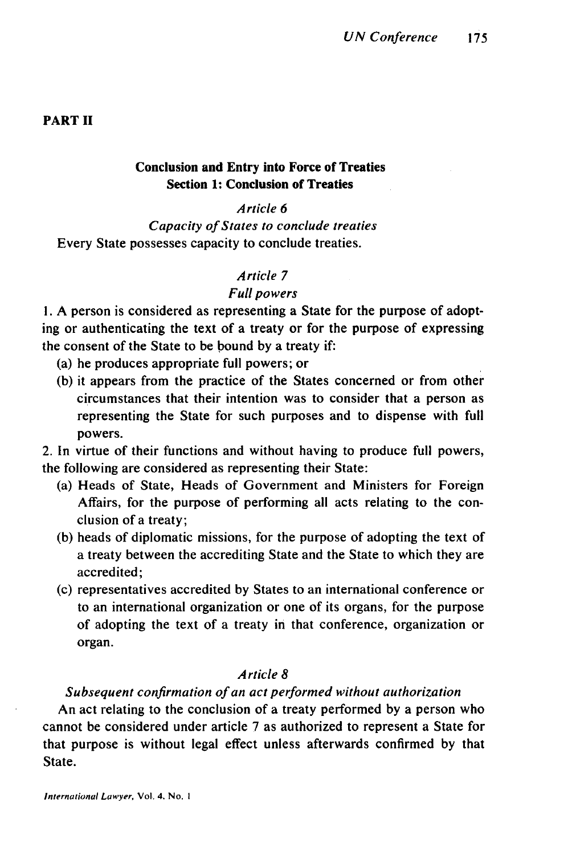#### **PART II**

## **Conclusion and Entry into Force of Treaties Section 1: Conclusion of Treaties**

#### Article 6

Capacity of States to conclude treaties Every State possesses capacity to conclude treaties.

## Article **7**

### Full powers

**1. A** person is considered as representing a State for the purpose of adopting or authenticating the text of a treaty or for the purpose of expressing the consent of the State to be bound **by** a treaty if:

- (a) he produces appropriate full powers; or
- **(b)** it appears from the practice of the States concerned or from other circumstances that their intention was to consider that a person as representing the State for such purposes and to dispense with full powers.

2. In virtue of their functions and without having to produce full powers, the following are considered as representing their State:

- (a) Heads of State, Heads of Government and Ministers for Foreign Affairs, for the purpose of performing all acts relating to the conclusion of a treaty;
- **(b)** heads of diplomatic missions, for the purpose of adopting the text of a treaty between the accrediting State and the State to which they are accredited;
- (c) representatives accredited **by** States to an international conference or to an international organization or one of its organs, for the purpose of adopting the text of a treaty in that conference, organization or organ.

#### Article **8**

#### Subsequent confirmation of an act performed without authorization

An act relating to the conclusion of a treaty performed **by** a person who cannot be considered under article **7** as authorized to represent a State for that purpose is without legal effect unless afterwards confirmed **by** that State.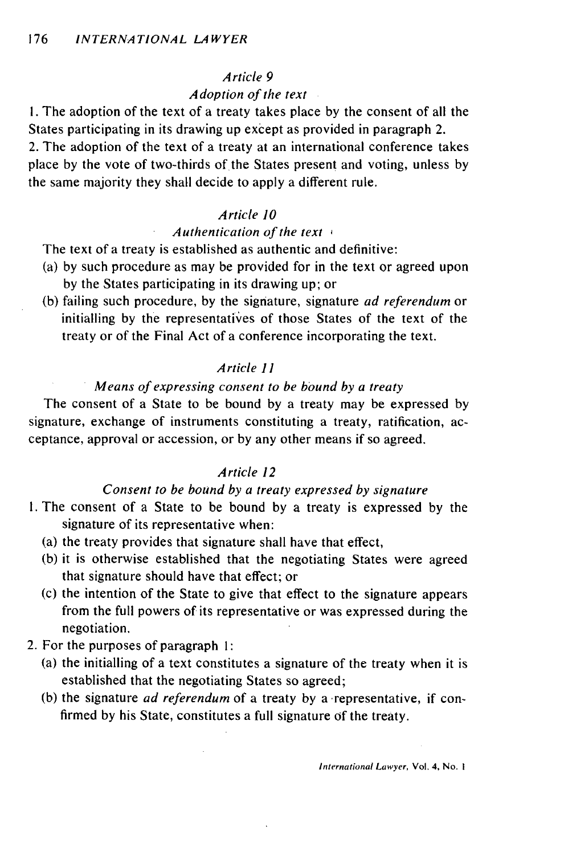#### Article 9

#### Adoption of the text

**1.** The adoption of the text of a treaty takes place by the consent of all the States participating in its drawing up except as provided in paragraph 2. 2. The adoption of the text of a treaty at an international conference takes place by the vote of two-thirds of the States present and voting, unless by the same majority they shall decide to apply a different rule.

#### Article **10**

#### Authentication of the text *1*

The text of a treaty is established as authentic and definitive:

- (a) by such procedure as may be provided for in the text or agreed upon by the States participating in its drawing up; or
- (b) failing such procedure, by the signature, signature ad referendum or initialling by the representatives of those States of the text of the treaty or of the Final Act of a conference incorporating the text.

#### Article *11*

#### Means of expressing consent to be bound by a treaty

The consent of a State to be bound by a treaty may be expressed by signature, exchange of instruments constituting a treaty, ratification, acceptance, approval or accession, or by any other means if so agreed.

#### Article 12

## Consent to be bound by a treaty expressed by signature

- 1. The consent of a State to be bound by a treaty is expressed by the signature of its representative when:
	- (a) the treaty provides that signature shall have that effect,
	- (b) it is otherwise established that the negotiating States were agreed that signature should have that effect; or
	- (c) the intention of the State to give that effect to the signature appears from the full powers of its representative or was expressed during the negotiation.
- 2. For the purposes of paragraph 1:
	- (a) the initialling of a text constitutes a signature of the treaty when it is established that the negotiating States so agreed;
	- (b) the signature ad referendum of a treaty by a representative, if confirmed by his State, constitutes a full signature of the treaty.

International Lawyer, Vol. 4, No. **I**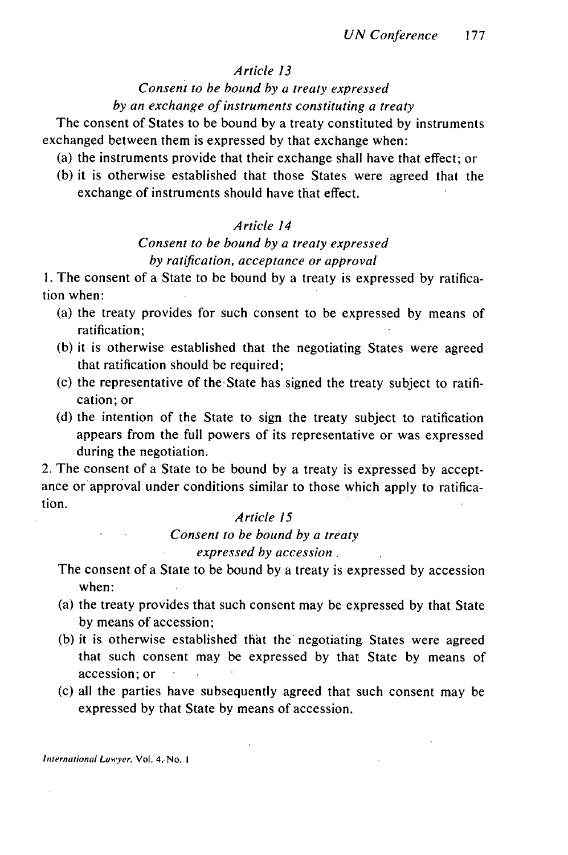#### *Article 13*

#### *Consent to be bound by a treaty expressed*

*by an exchange of instruments constituting a treaty*

The consent of States to be bound by a treaty constituted by instruments exchanged between them is expressed by that exchange when:

- (a) the instruments provide that their exchange shall have that effect; or
- (b) it is otherwise established that those States were agreed that the exchange of instruments should have that effect.

## *Article 14*

# *Consent to be bound by a treaty expressed by ratification, acceptance or approval*

1. The consent of a State to be bound by a treaty is expressed by ratification when:

- (a) the treaty provides for such consent to be expressed by means of ratification;
- (b) it is otherwise established that the negotiating States were agreed that ratification should be required;
- (c) the representative of the State has signed the treaty subject to ratification; or
- (d) the intention of the State to sign the treaty subject to ratification appears from the full powers of its representative or was expressed during the negotiation.

2. The consent of a State to be bound by a treaty is expressed by acceptance or approval under conditions similar to those which apply to ratification.

## *Article* **15**

*Consent to be bound by a treaty*

*expressed by accession ,*

The consent of a State to be bound by a treaty is expressed by accession when:

- (a) the treaty provides that such consent may be expressed by that State by means of accession;
- (b) it is otherwise established that the negotiating States were agreed that such consent may be expressed by that State by means of accession; or
- (c) all the parties have subsequently agreed that such consent may be expressed by that State by means of accession.

International Lawyer, Vol. 4.. No. I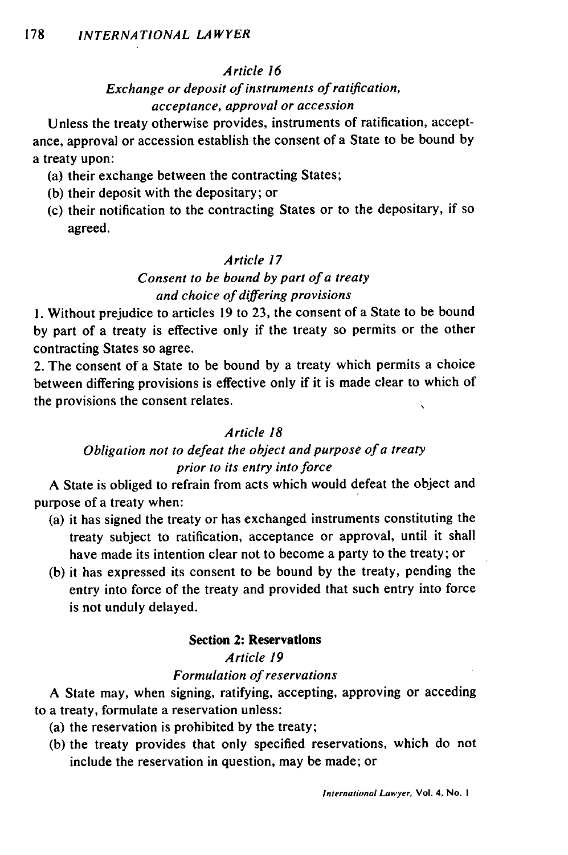## *Article 16*

# *Exchange or deposit of instruments of ratification, acceptance, approval or accession*

Unless the treaty otherwise provides, instruments of ratification, acceptance, approval or accession establish the consent of a State to be bound by a treaty upon:

- (a) their exchange between the contracting States;
- (b) their deposit with the depositary; or
- (c) their notification to the contracting States or to the depositary, if so agreed.

## *Article 17*

# *Consent to be bound by part of a treaty and choice of differing provisions*

**1.** Without prejudice to articles 19 to 23, the consent of a State to be bound by part of a treaty is effective only if the treaty so permits or the other contracting States so agree.

2. The consent of a State to be bound by a treaty which permits a choice between differing provisions is effective only if it is made clear to which of the provisions the consent relates.

## *Article 18*

## *Obligation not to defeat the object and purpose of a treaty prior to its entry into force*

A State is obliged to refrain from acts which would defeat the object and purpose of a treaty when:

- (a) it has signed the treaty or has exchanged instruments constituting the treaty subject to ratification, acceptance or approval, until it shall have made its intention clear not to become a party to the treaty; or
- (b) it has expressed its consent to be bound by the treaty, pending the entry into force of the treaty and provided that such entry into force is not unduly delayed.

#### Section 2: Reservations

## *Article 19*

## *Formulation of reservations*

A State may, when signing, ratifying, accepting, approving or acceding to a treaty, formulate a reservation unless:

- (a) the reservation is prohibited by the treaty;
- (b) the treaty provides that only specified reservations, which do not include the reservation in question, may be made; or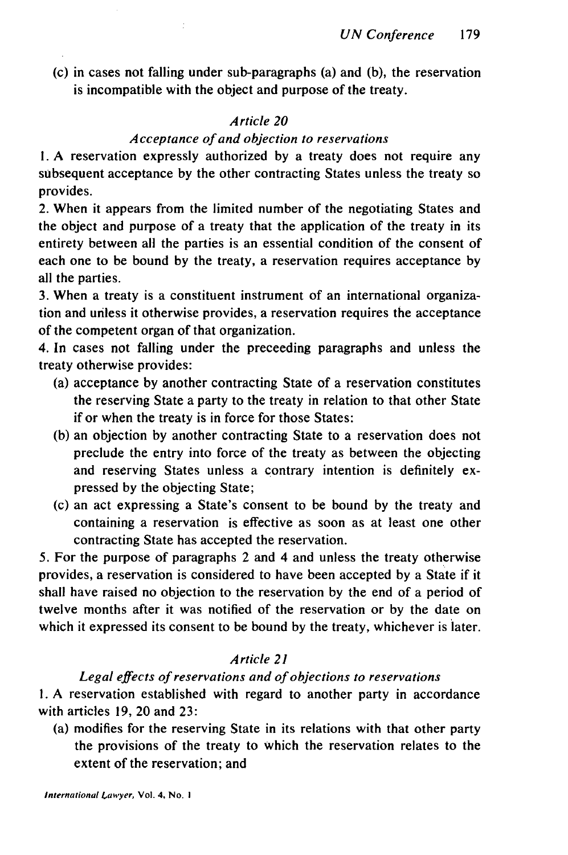(c) in cases not falling under sub-paragraphs (a) and (b), the reservation is incompatible with the object and purpose of the treaty.

## *Article 20*

## *Acceptance of and objection to reservations*

**1.** A reservation expressly authorized by a treaty does not require any subsequent acceptance by the other contracting States unless the treaty so provides.

2. When it appears from the limited number of the negotiating States and the object and purpose of a treaty that the application of the treaty in its entirety between all the parties is an essential condition of the consent of each one to be bound by the treaty, a reservation requires acceptance by all the parties.

3. When a treaty is a constituent instrument of an international organization and unless it otherwise provides, a reservation requires the acceptance of the competent organ of that organization.

4. In cases not falling under the preceeding paragraphs and unless the treaty otherwise provides:

- (a) acceptance by another contracting State of a reservation constitutes the reserving State a party to the treaty in relation to that other State if or when the treaty is in force for those States:
- (b) an objection by another contracting State to a reservation does not preclude the entry into force of the treaty as between the objecting and reserving States unless a contrary intention is definitely expressed by the objecting State;
- (c) an act expressing a State's consent to be bound by the treaty and containing a reservation is effective as soon as at least one other contracting State has accepted the reservation.

5. For the purpose of paragraphs 2 and 4 and unless the treaty otherwise provides, a reservation is considered to have been accepted by a State if it shall have raised no objection to the reservation by the end of a period of twelve months after it was notified of the reservation or by the date on which it expressed its consent to be bound by the treaty, whichever is later.

## *Article 21*

#### *Legal effects of reservations and of objections to reservations*

I. A reservation established with regard to another party in accordance with articles 19, 20 and 23:

(a) modifies for the reserving State in its relations with that other party the provisions of the treaty to which the reservation relates to the extent of the reservation; and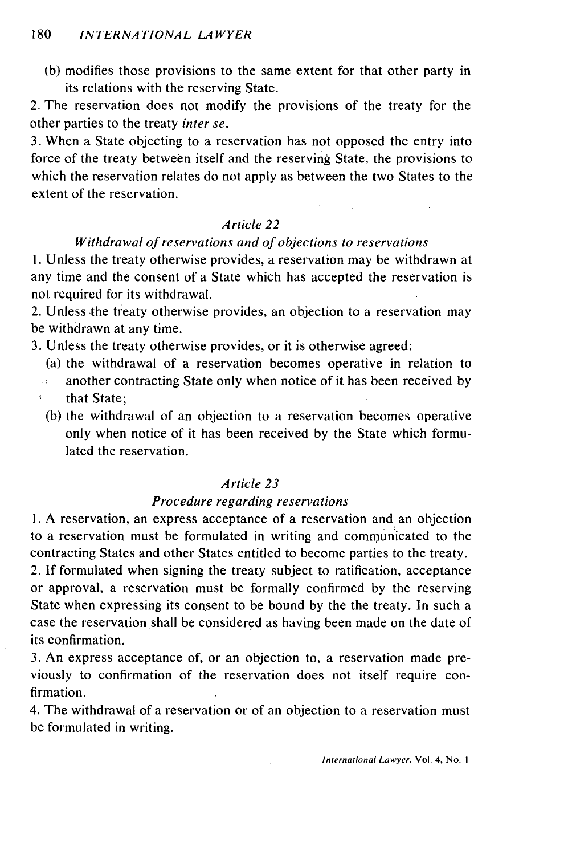(b) modifies those provisions to the same extent for that other party in its relations with the reserving State.

2. The reservation does not modify the provisions of the treaty for the other parties to the treaty *inter se.*

3. When a State objecting to a reservation has not opposed the entry into force of the treaty between itself and the reserving State, the provisions to which the reservation relates do not apply as between the two States to the extent of the reservation.

## *Article 22*

## *Withdrawal of reservations and of objections to reservations*

I. Unless the treaty otherwise provides, a reservation may be withdrawn at any time and the consent of a State which has accepted the reservation is not required for its withdrawal.

2. Unless the treaty otherwise provides, an objection to a reservation may be withdrawn at any time.

3. Unless the treaty otherwise provides, or it is otherwise agreed:

- (a) the withdrawal of a reservation becomes operative in relation to
- another contracting State only when notice of it has been received by аý,
- that State;
- (b) the withdrawal of an objection to a reservation becomes operative only when notice of it has been received by the State which formulated the reservation.

#### *Article 23*

#### *Procedure regarding reservations*

**1.** A reservation, an express acceptance of a reservation and an objection to a reservation must be formulated in writing and communicated to the contracting States and other States entitled to become parties to the treaty.

2. If formulated when signing the treaty subject to ratification, acceptance or approval, a reservation must be formally confirmed by the reserving State when expressing its consent to be bound by the the treaty. In such a case the reservation shall be considered as having been made on the date of its confirmation.

3. An express acceptance of, or an objection to, a reservation made previously to confirmation of the reservation does not itself require confirmation.

4. The withdrawal of a reservation or of an objection to a reservation must be formulated in writing.

International Lawyer, Vol. 4, No. I